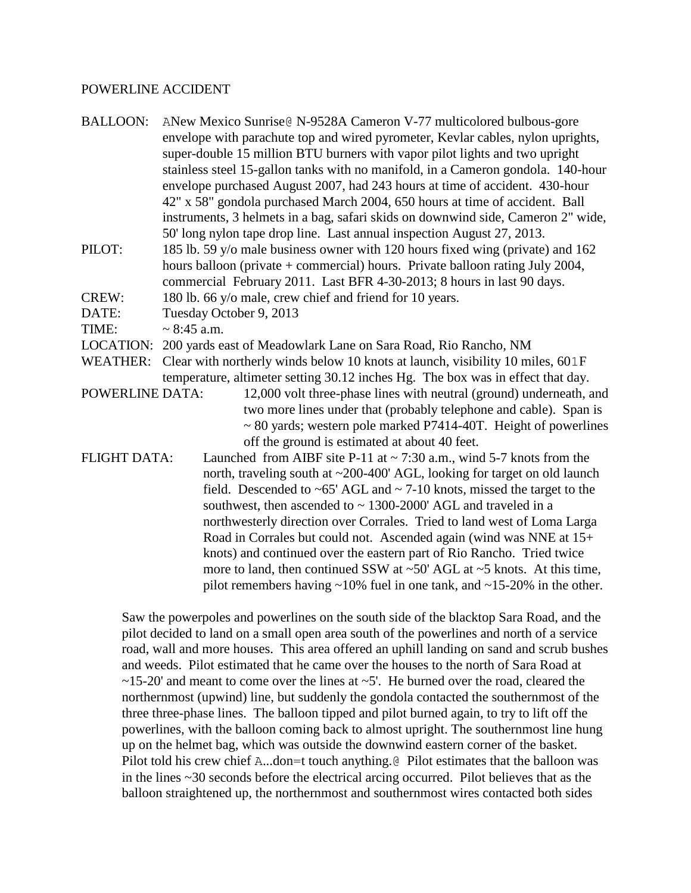#### POWERLINE ACCIDENT

- BALLOON: ANew Mexico Sunrise@ N-9528A Cameron V-77 multicolored bulbous-gore envelope with parachute top and wired pyrometer, Kevlar cables, nylon uprights, super-double 15 million BTU burners with vapor pilot lights and two upright stainless steel 15-gallon tanks with no manifold, in a Cameron gondola. 140-hour envelope purchased August 2007, had 243 hours at time of accident. 430-hour 42" x 58" gondola purchased March 2004, 650 hours at time of accident. Ball instruments, 3 helmets in a bag, safari skids on downwind side, Cameron 2" wide, 50' long nylon tape drop line. Last annual inspection August 27, 2013.
- PILOT: 185 lb. 59 y/o male business owner with 120 hours fixed wing (private) and 162 hours balloon (private + commercial) hours. Private balloon rating July 2004, commercial February 2011. Last BFR 4-30-2013; 8 hours in last 90 days.
- CREW: 180 lb. 66 y/o male, crew chief and friend for 10 years.
- DATE: Tuesday October 9, 2013
- TIME:  $\sim 8:45$  a.m.
- LOCATION: 200 yards east of Meadowlark Lane on Sara Road, Rio Rancho, NM
- WEATHER: Clear with northerly winds below 10 knots at launch, visibility 10 miles, 601F temperature, altimeter setting 30.12 inches Hg. The box was in effect that day.
- POWERLINE DATA: 12,000 volt three-phase lines with neutral (ground) underneath, and two more lines under that (probably telephone and cable). Span is  $\sim$  80 yards; western pole marked P7414-40T. Height of powerlines off the ground is estimated at about 40 feet.
- FLIGHT DATA: Launched from AIBF site P-11 at  $\sim$  7:30 a.m., wind 5-7 knots from the north, traveling south at ~200-400' AGL, looking for target on old launch field. Descended to  $\sim 65'$  AGL and  $\sim 7$ -10 knots, missed the target to the southwest, then ascended to  $\sim$  1300-2000' AGL and traveled in a northwesterly direction over Corrales. Tried to land west of Loma Larga Road in Corrales but could not. Ascended again (wind was NNE at 15+ knots) and continued over the eastern part of Rio Rancho. Tried twice more to land, then continued SSW at  $\sim$ 50' AGL at  $\sim$ 5 knots. At this time, pilot remembers having  $\sim$ 10% fuel in one tank, and  $\sim$ 15-20% in the other.

Saw the powerpoles and powerlines on the south side of the blacktop Sara Road, and the pilot decided to land on a small open area south of the powerlines and north of a service road, wall and more houses. This area offered an uphill landing on sand and scrub bushes and weeds. Pilot estimated that he came over the houses to the north of Sara Road at  $\sim$ 15-20' and meant to come over the lines at  $\sim$ 5'. He burned over the road, cleared the northernmost (upwind) line, but suddenly the gondola contacted the southernmost of the three three-phase lines. The balloon tipped and pilot burned again, to try to lift off the powerlines, with the balloon coming back to almost upright. The southernmost line hung up on the helmet bag, which was outside the downwind eastern corner of the basket. Pilot told his crew chief A...don=t touch anything.@ Pilot estimates that the balloon was in the lines ~30 seconds before the electrical arcing occurred. Pilot believes that as the balloon straightened up, the northernmost and southernmost wires contacted both sides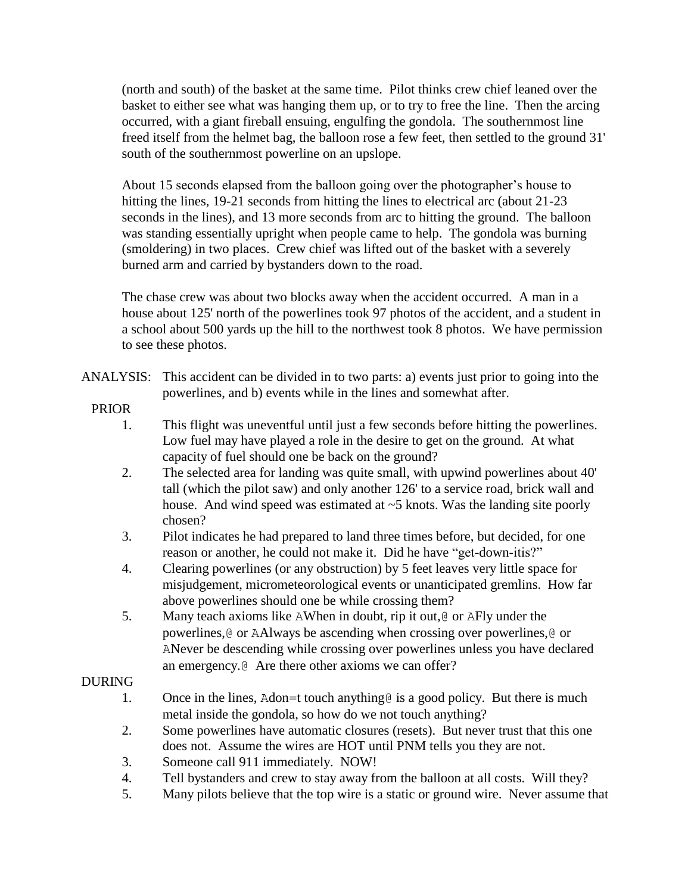(north and south) of the basket at the same time. Pilot thinks crew chief leaned over the basket to either see what was hanging them up, or to try to free the line. Then the arcing occurred, with a giant fireball ensuing, engulfing the gondola. The southernmost line freed itself from the helmet bag, the balloon rose a few feet, then settled to the ground 31' south of the southernmost powerline on an upslope.

About 15 seconds elapsed from the balloon going over the photographer's house to hitting the lines, 19-21 seconds from hitting the lines to electrical arc (about 21-23 seconds in the lines), and 13 more seconds from arc to hitting the ground. The balloon was standing essentially upright when people came to help. The gondola was burning (smoldering) in two places. Crew chief was lifted out of the basket with a severely burned arm and carried by bystanders down to the road.

The chase crew was about two blocks away when the accident occurred. A man in a house about 125' north of the powerlines took 97 photos of the accident, and a student in a school about 500 yards up the hill to the northwest took 8 photos. We have permission to see these photos.

ANALYSIS: This accident can be divided in to two parts: a) events just prior to going into the powerlines, and b) events while in the lines and somewhat after.

# PRIOR

- 1. This flight was uneventful until just a few seconds before hitting the powerlines. Low fuel may have played a role in the desire to get on the ground. At what capacity of fuel should one be back on the ground?
- 2. The selected area for landing was quite small, with upwind powerlines about 40' tall (which the pilot saw) and only another 126' to a service road, brick wall and house. And wind speed was estimated at  $\sim$  5 knots. Was the landing site poorly chosen?
- 3. Pilot indicates he had prepared to land three times before, but decided, for one reason or another, he could not make it. Did he have "get-down-itis?"
- 4. Clearing powerlines (or any obstruction) by 5 feet leaves very little space for misjudgement, micrometeorological events or unanticipated gremlins. How far above powerlines should one be while crossing them?
- 5. Many teach axioms like AWhen in doubt, rip it out,@ or AFly under the powerlines,@ or AAlways be ascending when crossing over powerlines,@ or ANever be descending while crossing over powerlines unless you have declared an emergency.@ Are there other axioms we can offer?

# DURING

- 1. Once in the lines, Adon=t touch anything is a good policy. But there is much metal inside the gondola, so how do we not touch anything?
- 2. Some powerlines have automatic closures (resets). But never trust that this one does not. Assume the wires are HOT until PNM tells you they are not.
- 3. Someone call 911 immediately. NOW!
- 4. Tell bystanders and crew to stay away from the balloon at all costs. Will they?
- 5. Many pilots believe that the top wire is a static or ground wire. Never assume that